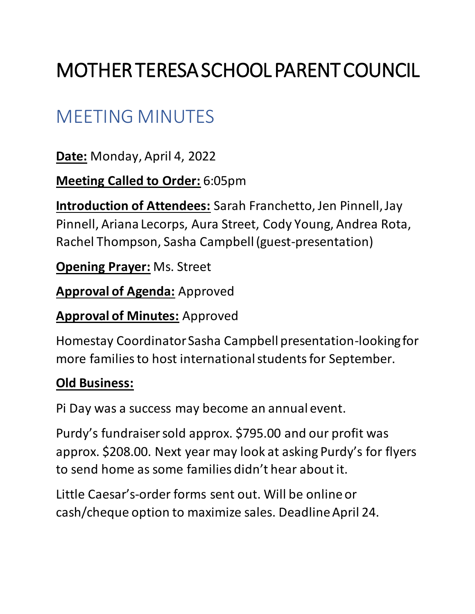# MOTHER TERESA SCHOOL PARENT COUNCIL

# MEETING MINUTES

**Date:** Monday, April 4, 2022

**Meeting Called to Order:** 6:05pm

**Introduction of Attendees:** Sarah Franchetto, Jen Pinnell, Jay Pinnell, Ariana Lecorps, Aura Street, Cody Young, Andrea Rota, Rachel Thompson, Sasha Campbell (guest-presentation)

**Opening Prayer:** Ms. Street

**Approval of Agenda:** Approved

**Approval of Minutes:** Approved

Homestay Coordinator Sasha Campbell presentation-looking for more families to host international students for September.

## **Old Business:**

Pi Day was a success may become an annual event.

Purdy's fundraiser sold approx. \$795.00 and our profit was approx. \$208.00. Next year may look at asking Purdy's for flyers to send home as some families didn't hear about it.

Little Caesar's-order forms sent out. Will be online or cash/cheque option to maximize sales. Deadline April 24.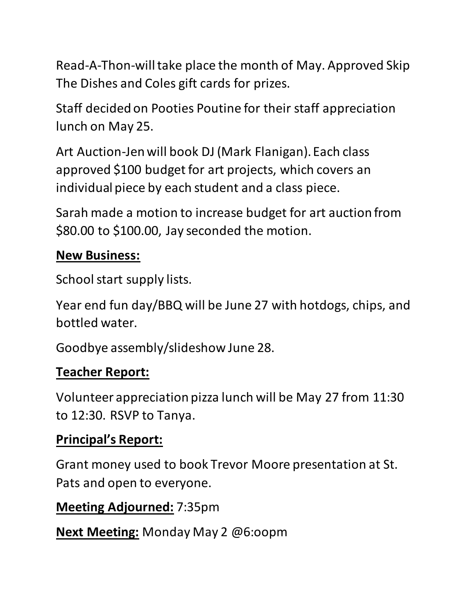Read-A-Thon-will take place the month of May. Approved Skip The Dishes and Coles gift cards for prizes.

Staff decided on Pooties Poutine for their staff appreciation lunch on May 25.

Art Auction-Jen will book DJ (Mark Flanigan). Each class approved \$100 budget for art projects, which covers an individual piece by each student and a class piece.

Sarah made a motion to increase budget for art auction from \$80.00 to \$100.00, Jay seconded the motion.

#### **New Business:**

School start supply lists.

Year end fun day/BBQ will be June 27 with hotdogs, chips, and bottled water.

Goodbye assembly/slideshow June 28.

#### **Teacher Report:**

Volunteer appreciation pizza lunch will be May 27 from 11:30 to 12:30. RSVP to Tanya.

## **Principal's Report:**

Grant money used to book Trevor Moore presentation at St. Pats and open to everyone.

#### **Meeting Adjourned:** 7:35pm

**Next Meeting:** Monday May 2 @6:oopm